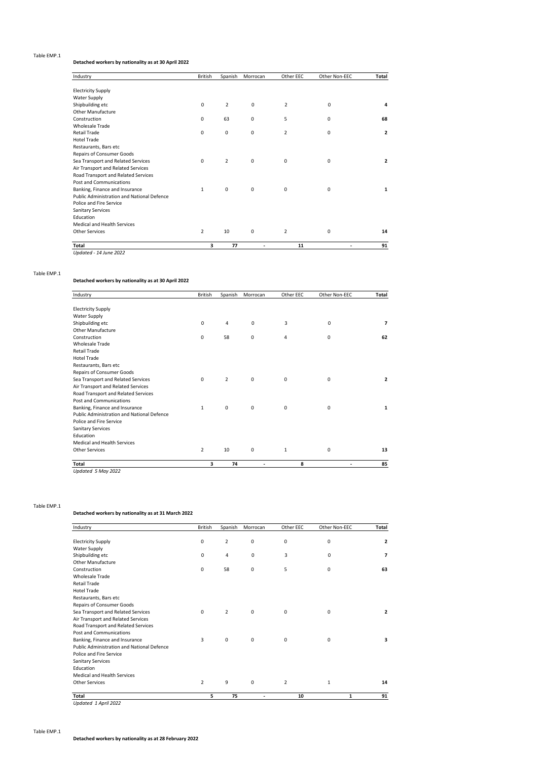#### Table EMP.1

## **Detached workers by nationality as at 30 April 2022**

| Industry                                   | <b>British</b> | Spanish        | Morrocan    | Other EEC      | Other Non-EEC | Total          |
|--------------------------------------------|----------------|----------------|-------------|----------------|---------------|----------------|
| <b>Electricity Supply</b>                  |                |                |             |                |               |                |
| <b>Water Supply</b>                        |                |                |             |                |               |                |
| Shipbuilding etc                           | $\mathbf 0$    | $\overline{2}$ | 0           | $\overline{2}$ | $\mathbf 0$   | 4              |
| <b>Other Manufacture</b>                   |                |                |             |                |               |                |
| Construction                               | 0              | 63             | 0           | 5              | 0             | 68             |
| <b>Wholesale Trade</b>                     |                |                |             |                |               |                |
| <b>Retail Trade</b>                        | $\mathbf 0$    | $\mathbf 0$    | $\mathbf 0$ | $\overline{2}$ | $\mathbf 0$   | $\overline{2}$ |
| <b>Hotel Trade</b>                         |                |                |             |                |               |                |
| Restaurants, Bars etc                      |                |                |             |                |               |                |
| Repairs of Consumer Goods                  |                |                |             |                |               |                |
| Sea Transport and Related Services         | 0              | $\overline{2}$ | 0           | 0              | 0             | $\overline{2}$ |
| Air Transport and Related Services         |                |                |             |                |               |                |
| Road Transport and Related Services        |                |                |             |                |               |                |
| Post and Communications                    |                |                |             |                |               |                |
| Banking, Finance and Insurance             | 1              | $\mathbf 0$    | $\mathbf 0$ | $\mathbf 0$    | 0             | 1              |
| Public Administration and National Defence |                |                |             |                |               |                |
| Police and Fire Service                    |                |                |             |                |               |                |
| <b>Sanitary Services</b>                   |                |                |             |                |               |                |
| Education                                  |                |                |             |                |               |                |
| <b>Medical and Health Services</b>         |                |                |             |                |               |                |
| Other Services                             | $\overline{2}$ | 10             | $\mathbf 0$ | $\overline{2}$ | $\mathbf 0$   | 14             |
| Total                                      | з              | 77             | ٠           | 11             | ٠             | 91             |
| Updated - 14 June 2022                     |                |                |             |                |               |                |

Table EMP.1

## **Detached workers by nationality as at 30 April 2022**

| Industry                                   | <b>British</b> | Spanish        | Morrocan    | Other EEC | Other Non-EEC | Total          |
|--------------------------------------------|----------------|----------------|-------------|-----------|---------------|----------------|
| <b>Electricity Supply</b>                  |                |                |             |           |               |                |
| <b>Water Supply</b>                        |                |                |             |           |               |                |
| Shipbuilding etc                           | 0              | 4              | 0           | 3         | 0             | 7              |
| Other Manufacture                          |                |                |             |           |               |                |
| Construction                               | $\mathbf 0$    | 58             | 0           | 4         | 0             | 62             |
| <b>Wholesale Trade</b>                     |                |                |             |           |               |                |
| Retail Trade                               |                |                |             |           |               |                |
| <b>Hotel Trade</b>                         |                |                |             |           |               |                |
| Restaurants, Bars etc                      |                |                |             |           |               |                |
| Repairs of Consumer Goods                  |                |                |             |           |               |                |
| Sea Transport and Related Services         | 0              | $\overline{2}$ | 0           | 0         | 0             | $\overline{2}$ |
| Air Transport and Related Services         |                |                |             |           |               |                |
| Road Transport and Related Services        |                |                |             |           |               |                |
| Post and Communications                    |                |                |             |           |               |                |
| Banking, Finance and Insurance             | $\mathbf{1}$   | $\mathbf 0$    | $\mathbf 0$ | 0         | 0             | 1              |
| Public Administration and National Defence |                |                |             |           |               |                |
| Police and Fire Service                    |                |                |             |           |               |                |
| <b>Sanitary Services</b>                   |                |                |             |           |               |                |
| Education                                  |                |                |             |           |               |                |
| Medical and Health Services                |                |                |             |           |               |                |
| <b>Other Services</b>                      | $\overline{2}$ | 10             | $\mathbf 0$ | 1         | 0             | 13             |
| <b>Total</b>                               | 3              | 74             | ٠           | 8         | ٠             | 85             |

Table EMP.1

# **Detached workers by nationality as at 31 March 2022**

| Industry                                          | <b>British</b> | Spanish        | Morrocan    | Other EEC      | Other Non-EEC | Total          |
|---------------------------------------------------|----------------|----------------|-------------|----------------|---------------|----------------|
|                                                   | $\mathbf 0$    | $\overline{2}$ | 0           |                | $\mathbf 0$   | $\overline{2}$ |
| <b>Electricity Supply</b>                         |                |                |             | 0              |               |                |
| Water Supply                                      |                |                |             |                |               |                |
| Shipbuilding etc                                  | $\mathbf 0$    | $\overline{4}$ | $\mathbf 0$ | 3              | $\mathbf 0$   | 7              |
| Other Manufacture                                 |                |                |             |                |               |                |
| Construction                                      | 0              | 58             | 0           | 5              | 0             | 63             |
| <b>Wholesale Trade</b>                            |                |                |             |                |               |                |
| <b>Retail Trade</b>                               |                |                |             |                |               |                |
| <b>Hotel Trade</b>                                |                |                |             |                |               |                |
| Restaurants, Bars etc                             |                |                |             |                |               |                |
| Repairs of Consumer Goods                         |                |                |             |                |               |                |
| Sea Transport and Related Services                | $\mathbf 0$    | $\overline{2}$ | $\mathbf 0$ | 0              | $\mathbf 0$   | $\overline{2}$ |
| Air Transport and Related Services                |                |                |             |                |               |                |
| Road Transport and Related Services               |                |                |             |                |               |                |
| Post and Communications                           |                |                |             |                |               |                |
| Banking, Finance and Insurance                    | 3              | 0              | 0           | 0              | 0             | 3              |
| <b>Public Administration and National Defence</b> |                |                |             |                |               |                |
| Police and Fire Service                           |                |                |             |                |               |                |
| <b>Sanitary Services</b>                          |                |                |             |                |               |                |
| Education                                         |                |                |             |                |               |                |
| Medical and Health Services                       |                |                |             |                |               |                |
| Other Services                                    | $\overline{2}$ | 9              | 0           | $\overline{2}$ | $\mathbf{1}$  | 14             |
| Total                                             | 5              | 75             | ٠           | 10             | 1             | 91             |

*Updated 1 April 2022*